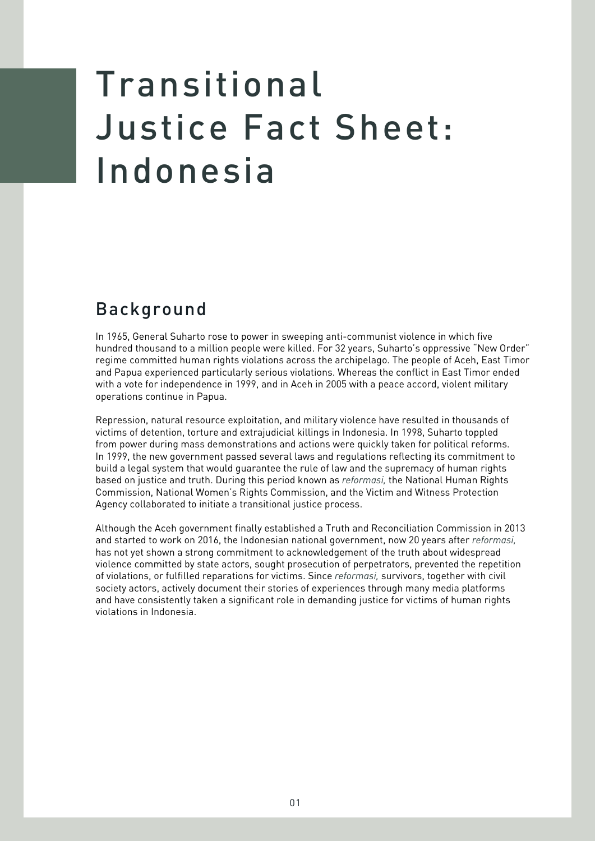## Transitional Justice Fact Sheet: Indonesia

## Background

In 1965, General Suharto rose to power in sweeping anti-communist violence in which five hundred thousand to a million people were killed. For 32 years, Suharto's oppressive "New Order" regime committed human rights violations across the archipelago. The people of Aceh, East Timor and Papua experienced particularly serious violations. Whereas the conflict in East Timor ended with a vote for independence in 1999, and in Aceh in 2005 with a peace accord, violent military operations continue in Papua.

Repression, natural resource exploitation, and military violence have resulted in thousands of victims of detention, torture and extrajudicial killings in Indonesia. In 1998, Suharto toppled from power during mass demonstrations and actions were quickly taken for political reforms. In 1999, the new government passed several laws and regulations reflecting its commitment to build a legal system that would quarantee the rule of law and the supremacy of human rights based on justice and truth. During this period known as *reformasi*, the National Human Rights Commission, National Women's Rights Commission, and the Victim and Witness Protection Agency collaborated to initiate a transitional justice process.

Although the Aceh government finally established a Truth and Reconciliation Commission in 2013 and started to work on 2016, the Indonesian national government, now 20 years after *reformasi*, has not yet shown a strong commitment to acknowledgement of the truth about widespread violence committed by state actors, sought prosecution of perpetrators, prevented the repetition of violations, or fulfilled reparations for victims. Since *reformasi*, survivors, together with civil society actors, actively document their stories of experiences through many media platforms and have consistently taken a significant role in demanding justice for victims of human rights violations in Indonesia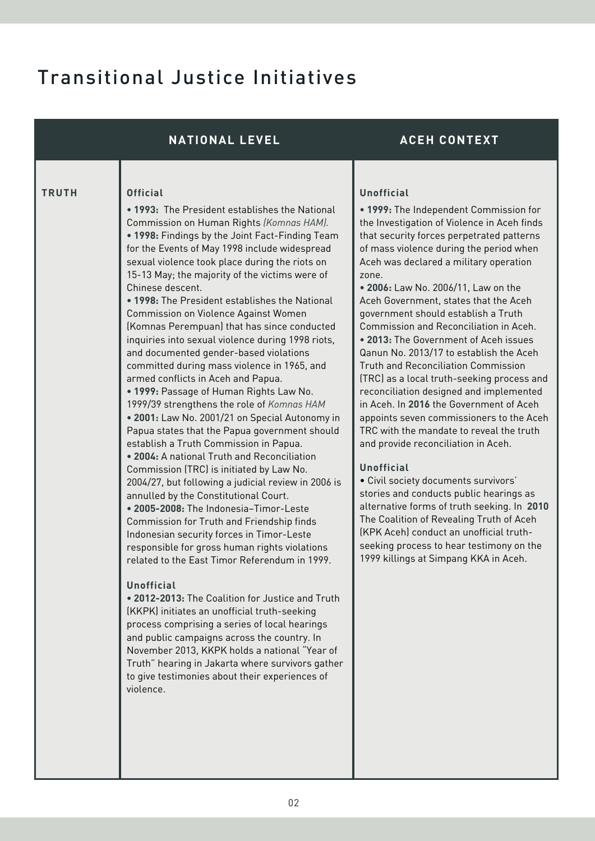## Transitional Justice Initiatives

|              | <b>NATIONAL LEVEL</b>                                                                                                                                                                                                                                                                                                                                                                                                                                                                                                                                                                                                                                                                                                                                                                                                                                                                                                                                                                                                                                                                                                                                                                                                                                                                                                                                                                                                                                                                                                                                                                                                                                                                                                                      | <b>ACEH CONTEXT</b>                                                                                                                                                                                                                                                                                                                                                                                                                                                                                                                                                                                                                                                                                                                                                                                                                                                                                                                                                                                                                                                                                                                                            |
|--------------|--------------------------------------------------------------------------------------------------------------------------------------------------------------------------------------------------------------------------------------------------------------------------------------------------------------------------------------------------------------------------------------------------------------------------------------------------------------------------------------------------------------------------------------------------------------------------------------------------------------------------------------------------------------------------------------------------------------------------------------------------------------------------------------------------------------------------------------------------------------------------------------------------------------------------------------------------------------------------------------------------------------------------------------------------------------------------------------------------------------------------------------------------------------------------------------------------------------------------------------------------------------------------------------------------------------------------------------------------------------------------------------------------------------------------------------------------------------------------------------------------------------------------------------------------------------------------------------------------------------------------------------------------------------------------------------------------------------------------------------------|----------------------------------------------------------------------------------------------------------------------------------------------------------------------------------------------------------------------------------------------------------------------------------------------------------------------------------------------------------------------------------------------------------------------------------------------------------------------------------------------------------------------------------------------------------------------------------------------------------------------------------------------------------------------------------------------------------------------------------------------------------------------------------------------------------------------------------------------------------------------------------------------------------------------------------------------------------------------------------------------------------------------------------------------------------------------------------------------------------------------------------------------------------------|
| <b>TRUTH</b> | <b>Official</b><br>• 1993: The President establishes the National<br>Commission on Human Rights (Komnas HAM).<br>. 1998: Findings by the Joint Fact-Finding Team<br>for the Events of May 1998 include widespread<br>sexual violence took place during the riots on<br>15-13 May; the majority of the victims were of<br>Chinese descent.<br>• 1998: The President establishes the National<br>Commission on Violence Against Women<br>(Komnas Perempuan) that has since conducted<br>inquiries into sexual violence during 1998 riots,<br>and documented gender-based violations<br>committed during mass violence in 1965, and<br>armed conflicts in Aceh and Papua.<br>. 1999: Passage of Human Rights Law No.<br>1999/39 strengthens the role of Komnas HAM<br>. 2001: Law No. 2001/21 on Special Autonomy in<br>Papua states that the Papua government should<br>establish a Truth Commission in Papua.<br>. 2004: A national Truth and Reconciliation<br>Commission (TRC) is initiated by Law No.<br>2004/27, but following a judicial review in 2006 is<br>annulled by the Constitutional Court.<br>• 2005-2008: The Indonesia-Timor-Leste<br>Commission for Truth and Friendship finds<br>Indonesian security forces in Timor-Leste<br>responsible for gross human rights violations<br>related to the East Timor Referendum in 1999.<br><b>Unofficial</b><br>• 2012-2013: The Coalition for Justice and Truth<br>(KKPK) initiates an unofficial truth-seeking<br>process comprising a series of local hearings<br>and public campaigns across the country. In<br>November 2013, KKPK holds a national "Year of<br>Truth" hearing in Jakarta where survivors gather<br>to give testimonies about their experiences of<br>violence. | <b>Unofficial</b><br>• 1999: The Independent Commission for<br>the Investigation of Violence in Aceh finds<br>that security forces perpetrated patterns<br>of mass violence during the period when<br>Aceh was declared a military operation<br>zone.<br>• 2006: Law No. 2006/11, Law on the<br>Aceh Government, states that the Aceh<br>government should establish a Truth<br>Commission and Reconciliation in Aceh.<br>• 2013: The Government of Aceh issues<br>Qanun No. 2013/17 to establish the Aceh<br><b>Truth and Reconciliation Commission</b><br>(TRC) as a local truth-seeking process and<br>reconciliation designed and implemented<br>in Aceh. In 2016 the Government of Aceh<br>appoints seven commissioners to the Aceh<br>TRC with the mandate to reveal the truth<br>and provide reconciliation in Aceh.<br><b>Unofficial</b><br>· Civil society documents survivors'<br>stories and conducts public hearings as<br>alternative forms of truth seeking. In 2010<br>The Coalition of Revealing Truth of Aceh<br>(KPK Aceh) conduct an unofficial truth-<br>seeking process to hear testimony on the<br>1999 killings at Simpang KKA in Aceh. |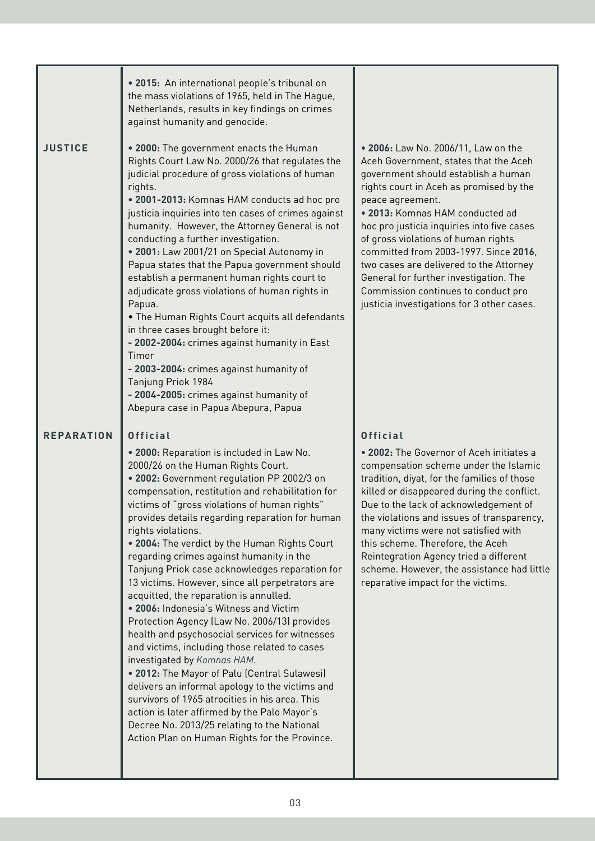|                   | • 2015: An international people's tribunal on<br>the mass violations of 1965, held in The Hague,<br>Netherlands, results in key findings on crimes<br>against humanity and genocide.                                                                                                                                                                                                                                                                                                                                                                                                                                                                                                                                                                                                                                                                                                                                                                                                                                                                                                                        |                                                                                                                                                                                                                                                                                                                                                                                                                                                                                                                               |
|-------------------|-------------------------------------------------------------------------------------------------------------------------------------------------------------------------------------------------------------------------------------------------------------------------------------------------------------------------------------------------------------------------------------------------------------------------------------------------------------------------------------------------------------------------------------------------------------------------------------------------------------------------------------------------------------------------------------------------------------------------------------------------------------------------------------------------------------------------------------------------------------------------------------------------------------------------------------------------------------------------------------------------------------------------------------------------------------------------------------------------------------|-------------------------------------------------------------------------------------------------------------------------------------------------------------------------------------------------------------------------------------------------------------------------------------------------------------------------------------------------------------------------------------------------------------------------------------------------------------------------------------------------------------------------------|
| <b>JUSTICE</b>    | . 2000: The government enacts the Human<br>Rights Court Law No. 2000/26 that regulates the<br>judicial procedure of gross violations of human<br>rights.<br>. 2001-2013: Komnas HAM conducts ad hoc pro<br>justicia inquiries into ten cases of crimes against<br>humanity. However, the Attorney General is not<br>conducting a further investigation.<br>. 2001: Law 2001/21 on Special Autonomy in<br>Papua states that the Papua government should<br>establish a permanent human rights court to<br>adjudicate gross violations of human rights in<br>Papua.<br>. The Human Rights Court acquits all defendants<br>in three cases brought before it:<br>- 2002-2004: crimes against humanity in East<br>Timor<br>- 2003-2004: crimes against humanity of<br>Tanjung Priok 1984<br>- 2004-2005: crimes against humanity of<br>Abepura case in Papua Abepura, Papua                                                                                                                                                                                                                                      | • 2006: Law No. 2006/11, Law on the<br>Aceh Government, states that the Aceh<br>government should establish a human<br>rights court in Aceh as promised by the<br>peace agreement.<br>• 2013: Komnas HAM conducted ad<br>hoc pro justicia inquiries into five cases<br>of gross violations of human rights<br>committed from 2003-1997. Since 2016,<br>two cases are delivered to the Attorney<br>General for further investigation. The<br>Commission continues to conduct pro<br>justicia investigations for 3 other cases. |
| <b>REPARATION</b> | <b>Official</b><br>. 2000: Reparation is included in Law No.<br>2000/26 on the Human Rights Court.<br>. 2002: Government regulation PP 2002/3 on<br>compensation, restitution and rehabilitation for<br>victims of "gross violations of human rights"<br>provides details regarding reparation for human<br>rights violations.<br>. 2004: The verdict by the Human Rights Court<br>regarding crimes against humanity in the<br>Tanjung Priok case acknowledges reparation for<br>13 victims. However, since all perpetrators are<br>acquitted, the reparation is annulled.<br>• 2006: Indonesia's Witness and Victim<br>Protection Agency (Law No. 2006/13) provides<br>health and psychosocial services for witnesses<br>and victims, including those related to cases<br>investigated by Komnas HAM.<br>. 2012: The Mayor of Palu (Central Sulawesi)<br>delivers an informal apology to the victims and<br>survivors of 1965 atrocities in his area. This<br>action is later affirmed by the Palo Mayor's<br>Decree No. 2013/25 relating to the National<br>Action Plan on Human Rights for the Province. | Official<br>• 2002: The Governor of Aceh initiates a<br>compensation scheme under the Islamic<br>tradition, diyat, for the families of those<br>killed or disappeared during the conflict.<br>Due to the lack of acknowledgement of<br>the violations and issues of transparency,<br>many victims were not satisfied with<br>this scheme. Therefore, the Aceh<br>Reintegration Agency tried a different<br>scheme. However, the assistance had little<br>reparative impact for the victims.                                   |